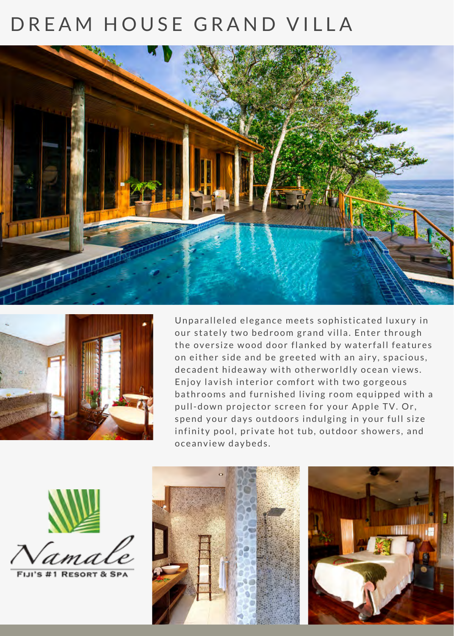## DREAM HOUSE GRAND VILLA





Unparalleled elegance meets sophisticated luxury in our stately two bedroom grand villa. Enter through the oversize wood door flanked by waterfall features on either side and be greeted with an airy, spacious, decadent hideaway with otherworldly ocean views. Enjoy lavish interior comfort with two gorgeous bathrooms and furnished living room equipped with a pull-down projector screen for your Apple TV. Or, spend your days outdoors indulging in your full size infinity pool, private hot tub, outdoor showers, and o ce anview day beds.